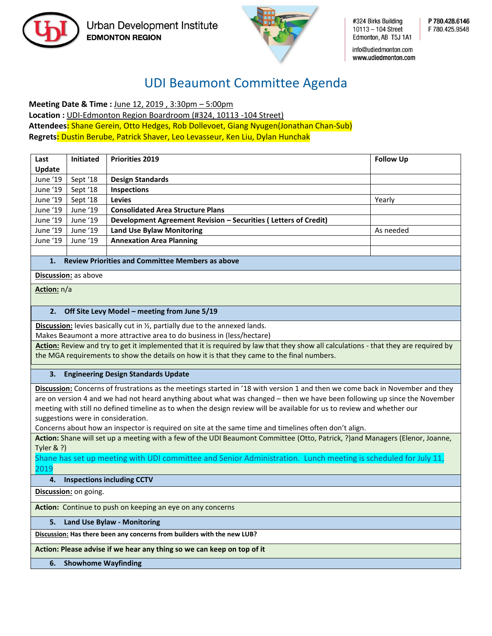

Urban Development Institute **EDMONTON REGION** 



#324 Birks Building 10113 - 104 Street Edmonton, AB T5J 1A1

P 780.428.6146 F 780 425 9548

info@udiedmonton.com www.udiedmonton.com

# UDI Beaumont Committee Agenda

**Meeting Date & Time :** June 12, 2019 , 3:30pm – 5:00pm **Location :** UDI-Edmonton Region Boardroom (#324, 10113 -104 Street) **Attendees:** Shane Gerein, Otto Hedges, Rob Dollevoet, Giang Nyugen(Jonathan Chan-Sub) **Regrets:** Dustin Berube, Patrick Shaver, Leo Levasseur, Ken Liu, Dylan Hunchak

| Last<br>Update | <b>Initiated</b> | <b>Priorities 2019</b>                                          | <b>Follow Up</b> |
|----------------|------------------|-----------------------------------------------------------------|------------------|
| June '19       | Sept '18         | <b>Design Standards</b>                                         |                  |
| June '19       | Sept '18         | <b>Inspections</b>                                              |                  |
| June '19       | Sept '18         | <b>Levies</b>                                                   | Yearly           |
| June '19       | June '19         | <b>Consolidated Area Structure Plans</b>                        |                  |
| June '19       | June '19         | Development Agreement Revision – Securities (Letters of Credit) |                  |
| June '19       | June '19         | <b>Land Use Bylaw Monitoring</b>                                | As needed        |
| June '19       | June '19         | <b>Annexation Area Planning</b>                                 |                  |
|                |                  |                                                                 |                  |

## **1. Review Priorities and Committee Members as above**

**Discussion:** as above

**Action:** n/a

### **2. Off Site Levy Model – meeting from June 5/19**

**Discussion:** levies basically cut in ½, partially due to the annexed lands.

Makes Beaumont a more attractive area to do business in (less/hectare)

**Action:** Review and try to get it implemented that it is required by law that they show all calculations - that they are required by the MGA requirements to show the details on how it is that they came to the final numbers.

### **3. Engineering Design Standards Update**

**Discussion:** Concerns of frustrations as the meetings started in '18 with version 1 and then we come back in November and they are on version 4 and we had not heard anything about what was changed – then we have been following up since the November meeting with still no defined timeline as to when the design review will be available for us to review and whether our suggestions were in consideration.

Concerns about how an inspector is required on site at the same time and timelines often don't align.

**Action:** Shane will set up a meeting with a few of the UDI Beaumont Committee (Otto, Patrick, ?)and Managers (Elenor, Joanne, Tyler & ?)

Shane has set up meeting with UDI committee and Senior Administration. Lunch meeting is scheduled for July 11, 2019

### **4. Inspections including CCTV**

**Discussion:** on going.

**Action:** Continue to push on keeping an eye on any concerns

### **5. Land Use Bylaw - Monitoring**

**Discussion: Has there been any concerns from builders with the new LUB?**

**Action: Please advise if we hear any thing so we can keep on top of it**

**6. Showhome Wayfinding**